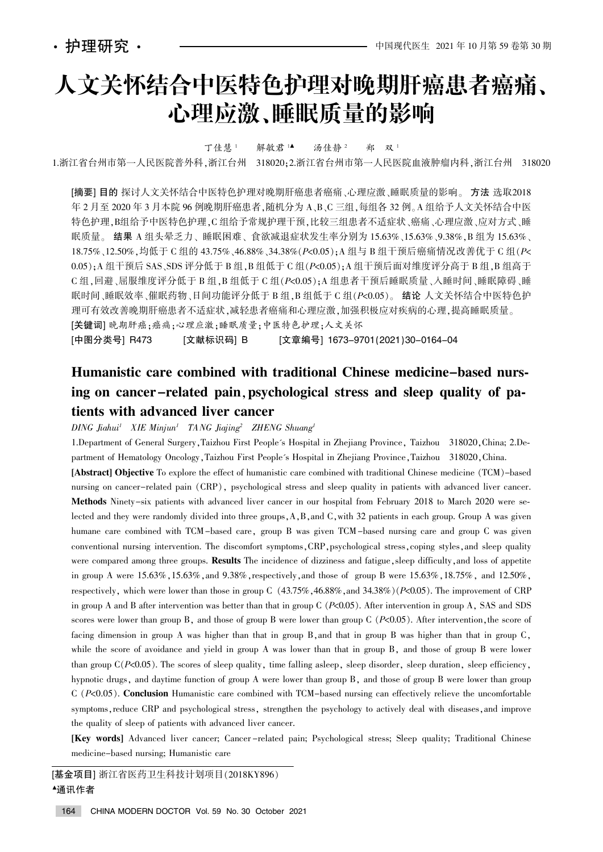# 人文关怀结合中医特色护理对晚期肝癌患者癌痛、 心理应激、睡眠质量的影响

丁佳慧<sup>1</sup> 解敏君 1▲ 汤佳静<sup>2</sup> 郑 双<sup>1</sup>

1.浙江省台州市第一人民医院普外科,浙江台州 318020;2.浙江省台州市第一人民医院血液肿瘤内科,浙江台州 318020

[摘要] 目的 探讨人文关怀结合中医特色护理对晚期肝癌患者癌痛、心理应激、睡眠质量的影响。方法 选取2018 年 2 月至 2020 年 3 月本院 96 例晚期肝癌患者,随机分为 A、B、C 三组,每组各 32 例。A 组给予人文关怀结合中医 特色护理,B组给予中医特色护理,C 组给予常规护理干预,比较三组患者不适症状、癌痛、心理应激、应对方式、睡 眠质量。结果 A 组头晕乏力、睡眠困难、食欲减退症状发生率分别为 15.63%、15.63%、9.38%, B 组为 15.63%、 18.75%、12.50%,均低于 C 组的 43.75%、46.88%、34.38% (P<0.05); A 组与 B 组干预后癌痛情况改善优于 C 组 (P< 0.05); A 组干预后 SAS、SDS 评分低于 B 组, B 组低于 C 组(P<0.05); A 组干预后面对维度评分高于 B 组, B 组高于  $C$ 组,回避、屈服维度评分低于 B 组, B 组低于 C 组( $P$ <0.05); A 组患者干预后睡眠质量、入睡时间、睡眠障碍、睡 眠时间、睡眠效率、催眠药物、日间功能评分低于 B 组, B 组低于 C 组(P<0.05)。 结论 人文关怀结合中医特色护 理可有效改善晚期肝癌患者不适症状,减轻患者癌痛和心理应激,加强积极应对疾病的心理,提高睡眠质量。 [关键词] 晚期肝癌;癌痛;心理应激;睡眠质量;中医特色护理;人文关怀

[中图分类号] R473 [文献标识码] B [文章编号] 1673–9701(2021)30–0164–04

# Humanistic care combined with traditional Chinese medicine-based nursing on cancer-related pain, psychological stress and sleep quality of patients with advanced liver cancer

 $DING$  Jiahui<sup>1</sup> XIE Minjun<sup>1</sup> TANG Jiajing<sup>2</sup> ZHENG Shuang<sup>1</sup>

1.Department of General Surgery, Taizhou First People's Hospital in Zhejiang Province, Taizhou 318020, China; 2.Department of Hematology Oncology, Taizhou First People's Hospital in Zhejiang Province, Taizhou 318020, China. [Abstract] Objective To explore the effect of humanistic care combined with traditional Chinese medicine (TCM)-based nursing on cancer-related pain (CRP), psychological stress and sleep quality in patients with advanced liver cancer. Methods Ninety-six patients with advanced liver cancer in our hospital from February 2018 to March 2020 were selected and they were randomly divided into three groups, A, B, and C, with 32 patients in each group. Group A was given humane care combined with TCM-based care, group B was given TCM-based nursing care and group C was given conventional nursing intervention. The discomfort symptoms, CRP, psychological stress, coping styles, and sleep quality were compared among three groups. Results The incidence of dizziness and fatigue, sleep difficulty, and loss of appetite in group A were  $15.63\%$ ,  $15.63\%$ , and  $9.38\%$ , respectively, and those of group B were  $15.63\%$ ,  $18.75\%$ , and  $12.50\%$ , respectively, which were lower than those in group C  $(43.75\%, 46.88\%,$  and  $34.38\%)$  (P<0.05). The improvement of CRP in group A and B after intervention was better than that in group C  $(P<0.05)$ . After intervention in group A, SAS and SDS scores were lower than group B, and those of group B were lower than group C  $(P< 0.05)$ . After intervention, the score of facing dimension in group A was higher than that in group B, and that in group B was higher than that in group  $C$ , while the score of avoidance and yield in group A was lower than that in group B, and those of group B were lower than group  $C(P<0.05)$ . The scores of sleep quality, time falling asleep, sleep disorder, sleep duration, sleep efficiency, hypnotic drugs, and daytime function of group A were lower than group B, and those of group B were lower than group  $C$  ( $P<0.05$ ). Conclusion Humanistic care combined with TCM-based nursing can effectively relieve the uncomfortable symptoms, reduce CRP and psychological stress, strengthen the psychology to actively deal with diseases, and improve the quality of sleep of patients with advanced liver cancer.

[Key words] Advanced liver cancer; Cancer -related pain; Psychological stress; Sleep quality; Traditional Chinese medicine-based nursing; Humanistic care

[基金项目] 浙江省医药卫生科技计划项目(2018KY896) <sup>银</sup>通讯作者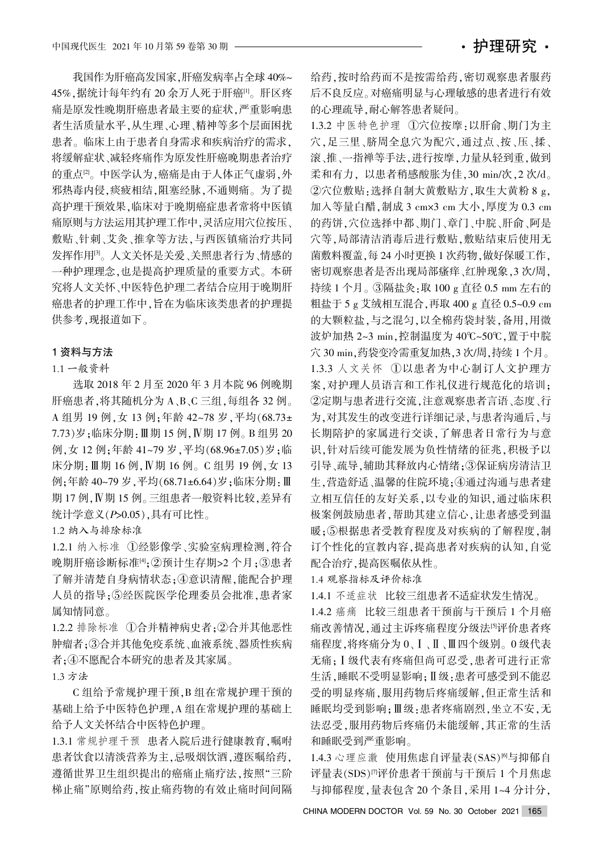我国作为肝癌高发国家,肝癌发病率占全球 40%~ 45%,据统计每年约有 20 余万人死于肝癌[1]。肝区疼 痛是原发性晚期肝癌患者最主要的症状,严重影响患 者生活质量水平,从生理、心理、精神等多个层面困扰 患者。临床上由于患者自身需求和疾病治疗的需求, 将缓解症状、减轻疼痛作为原发性肝癌晚期患者治疗 的重点<sup>[2]</sup>。中医学认为,癌痛是由于人体正气虚弱,外 邪热毒内侵,痰疲相结,阻塞经脉,不通则痛。为了提 高护理干预效果,临床对于晚期癌症患者常将中医镇 痛原则与方法运用其护理工作中,灵活应用穴位按压、 敷贴、针刺、艾灸、推拿等方法,与西医镇痛治疗共同 发挥作用。人文关怀是关爱、关照患者行为、情感的 一种护理理念,也是提高护理质量的重要方式。本研 究将人文关怀、中医特色护理二者结合应用于晚期肝 癌患者的护理工作中,旨在为临床该类患者的护理提 供参考,现报道如下。

#### 1 资料与方法

#### 1.1 一般资料

选取 2018 年 2 月至 2020 年 3 月本院 96 例晚期 肝癌患者,将其随机分为 A、B、C 三组,每组各 32 例。 A 组男 19 例, 女 13 例: 年龄 42~78 岁, 平均(68.73± 7.73)岁;临床分期: Ⅲ期 15 例, Ⅳ期 17 例。B 组男 20 例, 女 12 例; 年龄 41~79 岁, 平均(68.96±7.05) 岁; 临 床分期: Ⅲ期 16 例, Ⅳ期 16 例。C 组男 19 例, 女 13 例:年龄 40~79 岁,平均(68.71±6.64)岁;临床分期:Ⅲ 期 17 例, IV期 15 例。三组患者一般资料比较, 差异有 统计学意义 $(P>0.05)$ ,具有可比性。

1.2 纳入与排除标准

1.2.1 纳入标准 ①经影像学、实验室病理检测,符合 晚期肝癌诊断标准[4];②预计生存期>2个月;③患者 了解并清楚自身病情状态;4意识清醒,能配合护理 人员的指导:5经医院医学伦理委员会批准,患者家 属知情同意。

1.2.2 排除标准 ①合并精神病史者: ②合并其他恶性 肿瘤者;3合并其他免疫系统、血液系统、器质性疾病 者; 4不愿配合本研究的患者及其家属。

1.3 方法

C组给予常规护理干预,B 组在常规护理干预的 基础上给予中医特色护理,A 组在常规护理的基础上 给予人文关怀结合中医特色护理。

1.3.1 常规护理干预 患者入院后进行健康教育,嘱咐 患者饮食以清淡营养为主,忌吸烟饮酒,遵医嘱给药, 遵循世界卫生组织提出的癌痛止痛疗法,按照"三阶 梯止痛"原则给药,按止痛药物的有效止痛时间间隔 给药,按时给药而不是按需给药,密切观察患者服药 后不良反应。对癌痛明显与心理敏感的患者进行有效 的心理疏导,耐心解答患者疑问。

1.3.2 中医特色护理 ①穴位按摩:以肝俞、期门为主 穴,足三里、脐周全息穴为配穴,通过点、按、压、揉、 滚、推、一指禅等手法,进行按摩,力量从轻到重,做到 柔和有力, 以患者稍感酸胀为佳, 30 min/次, 2 次/d。 ②穴位敷贴:选择自制大黄敷贴方,取生大黄粉 8 g, 加入等量白醋, 制成 3 cm×3 cm 大小, 厚度为 0.3 cm 的药饼,穴位选择中都、期门、章门、中脘、肝俞、阿是 穴等,局部清洁消毒后进行敷贴,敷贴结束后使用无 菌敷料覆盖,每 24 小时更换 1 次药物,做好保暖工作, 密切观察患者是否出现局部瘙痒、红肿现象, 3 次/周, 持续 1 个月。③隔盐灸:取 100 g 直径 0.5 mm 左右的 粗盐于 5 g 艾绒相互混合, 再取 400 g 直径 0.5~0.9 cm 的大颗粒盐,与之混匀,以全棉药袋封装,备用,用微 波炉加热 2~3 min,控制温度为 40℃~50℃,置于中脘 穴 30 min, 药袋变冷需重复加热, 3 次/周, 持续 1 个月。 1.3.3 人文关怀 ①以患者为中心制订人文护理方 案. 对护理人员语言和工作礼仪进行规范化的培训: ②定期与患者进行交流,注意观察患者言语、态度、行 为,对其发生的改变进行详细记录,与患者沟通后,与 长期陪护的家属进行交谈,了解患者日常行为与意 识,针对后续可能发展为负性情绪的征兆,积极予以 引导、疏导,辅助其释放内心情绪;3保证病房清洁卫 生,营造舒适、温馨的住院环境;4通过沟通与患者建 立相互信任的友好关系,以专业的知识,通过临床积 极案例鼓励患者,帮助其建立信心,让患者感受到温 暖:5根据患者受教育程度及对疾病的了解程度,制 订个性化的宣教内容,提高患者对疾病的认知,自觉 配合治疗,提高医嘱依从性。

1.4 观察指标及评价标准

1.4.1 不适症状 比较三组患者不适症状发生情况。

1.4.2 癌痛 比较三组患者干预前与干预后 1 个月癌 痛改善情况,通过主诉疼痛程度分级法的评价患者疼 痛程度,将疼痛分为 0、Ⅰ、Ⅱ、Ⅲ四个级别。 0 级代表 无痛: I 级代表有疼痛但尚可忍受, 患者可进行正常 生活,睡眠不受明显影响: Ⅱ级:患者可感受到不能忍 受的明显疼痛,服用药物后疼痛缓解,但正常生活和 睡眠均受到影响;Ⅲ级:患者疼痛剧烈,坐立不安,无 法忍受,服用药物后疼痛仍未能缓解,其正常的生活 和睡眠受到严重影响。

1.4.3 心理应激 使用焦虑自评量表(SAS)<sup>6]</sup>与抑郁自 评量表(SDS)<sup>[7]</sup>评价患者干预前与干预后 1 个月焦虑 与抑郁程度,量表包含 20 个条目,采用 1~4 分计分,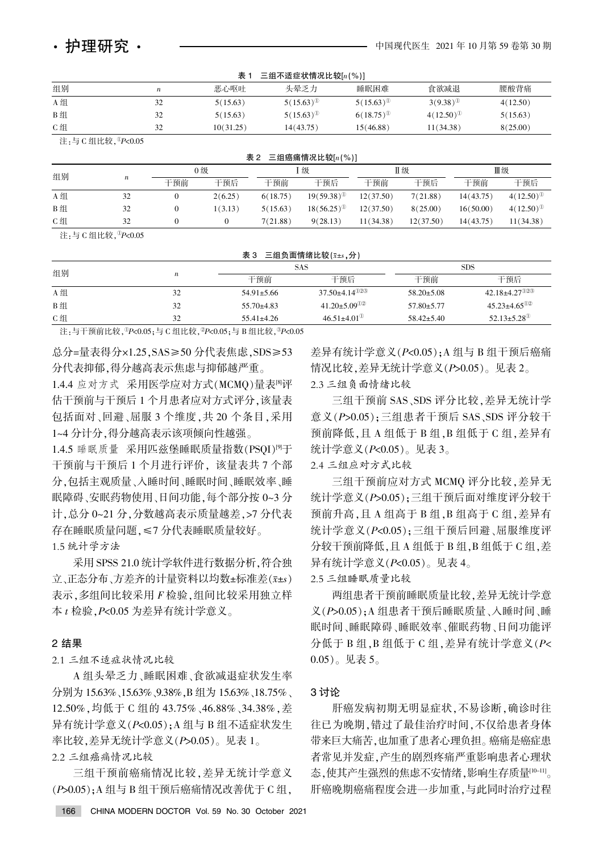| 表:<br>三组不适症状情况比较[n(%)] |    |           |                |                |                |          |  |  |  |
|------------------------|----|-----------|----------------|----------------|----------------|----------|--|--|--|
| 组别                     | n  | 恶心呕吐      | 头晕乏力           | 睡眠困难           | 食欲减退           | 腰酸背痛     |  |  |  |
| A 组                    | 32 | 5(15.63)  | $5(15.63)^{0}$ | $5(15.63)^{0}$ | $3(9.38)^{0}$  | 4(12.50) |  |  |  |
| B组                     |    | 5(15.63)  | $5(15.63)^{0}$ | $6(18.75)^{0}$ | $4(12.50)^{0}$ | 5(15.63) |  |  |  |
| C组                     | 32 | 10(31.25) | 14(43.75)      | 15(46.88)      | 11(34.38)      | 8(25.00) |  |  |  |

注:与 C 组比较, ${}^{0}P<0.05$ 

| 表 2<br>三组癌痛情况比较 $[n(\%)]$ |                  |     |         |          |                 |           |           |           |                |  |
|---------------------------|------------------|-----|---------|----------|-----------------|-----------|-----------|-----------|----------------|--|
| 组别                        |                  | 0 级 |         | 级        |                 | Ⅱ级        |           | Ⅲ级        |                |  |
|                           | $\boldsymbol{n}$ | 干预前 | 干预后     | 干预前      | 干预后             | 干预前       | 干预后       | 干预前       | 干预后            |  |
| A 组                       | 32               |     | 2(6.25) | 6(18.75) | $19(59.38)^{0}$ | 12(37.50) | 7(21.88)  | 14(43.75) | $4(12.50)^{0}$ |  |
| B 组                       | 32               |     | 1(3.13) | 5(15.63) | $18(56.25)^{0}$ | 12(37.50) | 8(25.00)  | 16(50.00) | $4(12.50)^{0}$ |  |
| C组                        | 32               |     |         | 7(21.88) | 9(28.13)        | 11(34.38) | 12(37.50) | 14(43.75) | 11(34.38)      |  |
|                           |                  |     |         |          |                 |           |           |           |                |  |

注:与 C 组比较, ${}^{0}P<0.05$ 

表 3 三组负面情绪比较 $(\bar{x}$ ±s,分)

|     |                  |                  | SAS                             | <b>SDS</b>       |                                 |  |
|-----|------------------|------------------|---------------------------------|------------------|---------------------------------|--|
| 组别  | $\boldsymbol{n}$ | 干预前              | 干预后                             | 干预前              | 干预后                             |  |
| A 组 | 32               | $54.91 \pm 5.66$ | $37.50 \pm 4.14 \times 10^{20}$ | $58.20 \pm 5.08$ | $42.18 \pm 4.27$ <sup>023</sup> |  |
| B组  | 32               | $55.70\pm4.83$   | $41.20 \pm 5.09$ <sup>02</sup>  | $57.80 \pm 5.77$ | $45.23 \pm 4.65$ <sup>02</sup>  |  |
| C 组 | 32               | $55.41 \pm 4.26$ | $46.51 \pm 4.01$ <sup>(0)</sup> | $58.42 \pm 5.40$ | $52.13 \pm 5.28$ <sup>①</sup>   |  |
|     |                  |                  |                                 |                  |                                 |  |

注: 与干预前比较,  ${}^{0}P<0.05$ ; 与 C 组比较,  ${}^{0}P<0.05$ ; 与 B 组比较,  ${}^{0}P<0.05$ 

总分=量表得分×1.25.SAS≥50 分代表焦虑.SDS≥53 分代表抑郁,得分越高表示焦虑与抑郁越严重。

1.4.4 应对方式 采用医学应对方式(MCMQ)量表<sup>图</sup>评 估干预前与干预后 1 个月患者应对方式评分,该量表 包括面对、回避、屈服 3 个维度, 共 20 个条目, 采用 1~4 分计分, 得分越高表示该项倾向性越强。

1.4.5 睡眠质量 采用匹兹堡睡眠质量指数(PSOI)<sup>[9]</sup>于 干预前与干预后 1 个月进行评价, 该量表共 7 个部 分,包括主观质量、入睡时间、睡眠时间、睡眠效率、睡 眠障碍、安眠药物使用、日间功能,每个部分按 0~3 分 计,总分 0~21 分,分数越高表示质量越差,>7 分代表 存在睡眠质量问题, < 7 分代表睡眠质量较好。 1.5 统计学方法

采用 SPSS 21.0 统计学软件进行数据分析, 符合独 立、正态分布、方差齐的计量资料以均数±标准差(x±s) 表示,多组间比较采用 F 检验, 组间比较采用独立样 本  $t$  检验,  $P$ <0.05 为差异有统计学意义。

### 2 结果

2.1 三组不适症状情况比较

A 组头晕乏力、睡眠困难、食欲减退症状发生率 分别为 15.63%、15.63%、9.38%, B 组为 15.63%、18.75%。 12.50%, 均低于 C 组的 43.75%、46.88%、34.38%, 差 异有统计学意义 $(P< 0.05)$ ; A 组与 B 组不适症状发生 率比较,差异无统计学意义 $(P>0.05)$ 。见表  $1$ 。

2.2 三组癌痛情况比较

三组干预前癌痛情况比较,差异无统计学意义  $(P>0.05)$ ; A 组与 B 组干预后癌痛情况改善优于 C 组,

差异有统计学意义 $(P < 0.05)$ : A 组与 B 组干预后癌痛 情况比较,差异无统计学意义(P>0.05)。见表 2。

2.3 三组负面情绪比较

三组干预前 SAS、SDS 评分比较,差异无统计学 意义 $( P > 0.05 )$ : 三组患者干预后 SAS、SDS 评分较干 预前降低,且 A 组低于 B 组,B 组低于 C 组,差异有 统计学意义 $(P<0.05)$ 。见表 3。

2.4 三组应对方式比较

三组干预前应对方式 MCMO 评分比较,差异无 统计学意义(P>0.05);三组干预后面对维度评分较干 预前升高,且 A 组高于 B 组, B 组高于 C 组, 差异有 统计学意义(P<0.05);三组干预后回避、屈服维度评 分较干预前降低,且 A 组低于 B 组,B 组低于 C 组,差 异有统计学意义 ( $P<0.05$ )。见表 4。

2.5 三组睡眠质量比较

两组患者干预前睡眠质量比较, 差异无统计学意 义(P>0.05);A 组患者干预后睡眠质量、入睡时间、睡 眠时间、睡眠障碍、睡眠效率、催眠药物、日间功能评 分低于 B 组, B 组低于 C 组, 差异有统计学意义 (P<  $(0.05)$ 。见表 5。

## 3 讨论

肝癌发病初期无明显症状,不易诊断,确诊时往 往已为晚期,错过了最佳治疗时间,不仅给患者身体 带来巨大痛苦,也加重了患者心理负担。 癌痛是癌症患 者常见并发症,产生的剧烈疼痛严重影响患者心理状 态,使其产生强烈的焦虑不安情绪,影响生存质量[10-11]。 肝癌晚期癌痛程度会进一步加重,与此同时治疗过程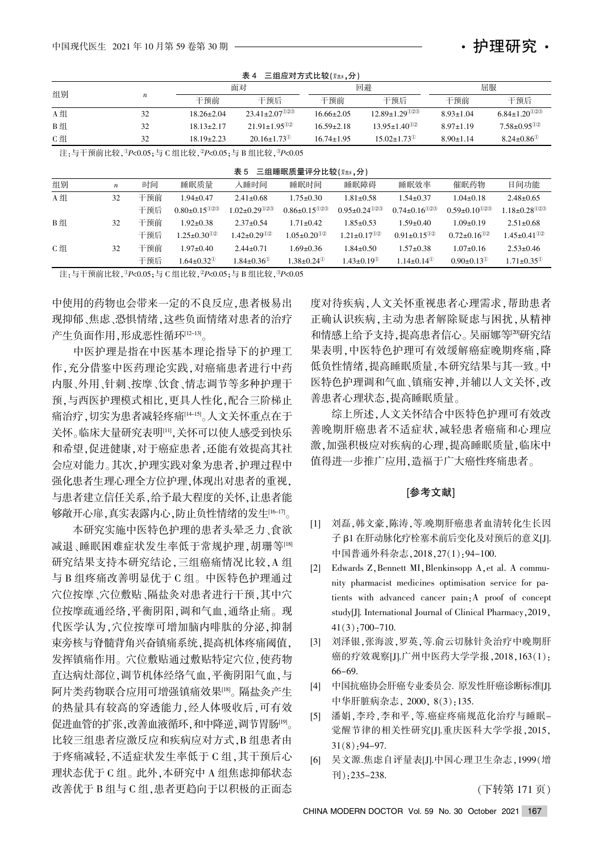C 组

32

|                                                                              |                  |                  |                                | <b>18 T</b>                                         |                                |                                |                                 |                                |                                |  |
|------------------------------------------------------------------------------|------------------|------------------|--------------------------------|-----------------------------------------------------|--------------------------------|--------------------------------|---------------------------------|--------------------------------|--------------------------------|--|
| 组别                                                                           |                  |                  |                                | 面对                                                  |                                | 回避                             |                                 | 屈服                             |                                |  |
|                                                                              |                  | $\boldsymbol{n}$ | 干预前                            | 干预后                                                 |                                | 干预前                            | 干预后                             | 干预前                            | 干预后                            |  |
| A组                                                                           |                  | 32               |                                | $23.41 \pm 2.07$ <sup>023</sup><br>$18.26 \pm 2.04$ |                                | $16.66 \pm 2.05$               | $12.89 \pm 1.29$ <sup>023</sup> | $8.93 \pm 1.04$                | $6.84 \pm 1.20$ <sup>023</sup> |  |
| B组                                                                           |                  | 32               | $18.13 \pm 2.17$               | $21.91 \pm 1.95$ <sup>02</sup>                      |                                | $16.59 \pm 2.18$               | $13.95 \pm 1.40$ <sup>02</sup>  | $8.97 \pm 1.19$                | $7.58 \pm 0.95$ <sup>02</sup>  |  |
| C组                                                                           |                  | 32               | $18.19 \pm 2.23$               | $20.16 \pm 1.73$ <sup>00</sup>                      |                                | $16.74 \pm 1.95$               | $15.02 \pm 1.73$ <sup>(1)</sup> | $8.90 \pm 1.14$                | $8.24 \pm 0.86$ <sup>(1)</sup> |  |
| 注:与干预前比较, ${}^{0}P<0.05$ ; 与 C 组比较, ${}^{0}P<0.05$ ; 与 B 组比较, ${}^{0}P<0.05$ |                  |                  |                                |                                                     |                                |                                |                                 |                                |                                |  |
| 表 5 三组睡眠质量评分比较(x+s,分)                                                        |                  |                  |                                |                                                     |                                |                                |                                 |                                |                                |  |
| 组别                                                                           | $\boldsymbol{n}$ | 时间               | 睡眠质量                           | 入睡时间                                                | 睡眠时间                           | 睡眠障碍                           | 睡眠效率                            | 催眠药物                           | 日间功能                           |  |
| A组                                                                           | 32               | 干预前              | $1.94 \pm 0.47$                | $2.41 \pm 0.68$                                     | $1.75 \pm 0.30$                | $1.81 \pm 0.58$                | $1.54 \pm 0.37$                 | $1.04 \pm 0.18$                | $2.48 \pm 0.65$                |  |
|                                                                              |                  | 干预后              | $0.80 \pm 0.15$ <sup>023</sup> | $1.02 \pm 0.29$ <sup>023</sup>                      | $0.86 \pm 0.15$ <sup>023</sup> | $0.95 \pm 0.24$ <sup>023</sup> | $0.74 \pm 0.16$ <sup>023</sup>  | $0.59 \pm 0.10$ <sup>023</sup> | $1.18 \pm 0.28$ <sup>023</sup> |  |
| B组                                                                           | 32               | 干预前              | $1.92 \pm 0.38$                | $2.37 \pm 0.54$                                     | $1.71 \pm 0.42$                | $1.85 \pm 0.53$                | $1.59 \pm 0.40$                 | $1.09 \pm 0.19$                | $2.51 \pm 0.68$                |  |

 $1.05 \pm 0.20$ <sup> $02$ </sup>  $1.69 \pm 0.36$  $1.38 \pm 0.24$ <sup>①</sup>  $1.21 \pm 0.17$ <sup>02</sup>  $1.84 \pm 0.50$  $1.43 \pm 0.19$ <sup>①</sup>

主无 三组应对方式比较低症 公

注:与干预前比较,  ${}^{0}P<0.05$ ; 与 C 组比较,  ${}^{0}P<0.05$ ; 与 B 组比较,  ${}^{0}P<0.05$ 

 $1.25 \pm 0.30$ <sup>12</sup>  $1.97 \pm 0.40$  $1.64 \pm 0.32$ <sup>①</sup>

 $1.42 \pm 0.29$ <sup> $02$ </sup>  $2.44 \pm 0.71$  $1.84 \pm 0.36$ <sup>①</sup>

干预后 干预前 干预后

中使用的药物也会带来一定的不良反应,患者极易出 现抑郁、焦虑、恐惧情绪,这些负面情绪对患者的治疗 产生负面作用,形成恶性循环[12-13]。

中医护理是指在中医基本理论指导下的护理工 作,充分借鉴中医药理论实践,对癌痛患者进行中药 内服、外用、针刺、按摩、饮食、情志调节等多种护理干 预,与西医护理模式相比,更具人性化,配合三阶梯止 痛治疗,切实为患者减轻疼痛[14-15]。人文关怀重点在于 关怀。临床大量研究表明[11]、关怀可以使人感受到快乐 和希望,促进健康,对于癌症患者,还能有效提高其社 会应对能力。其次,护理实践对象为患者,护理过程中 强化患者生理心理全方位护理,体现出对患者的重视, 与患者建立信任关系,给予最大程度的关怀,让患者能 够敞开心扉,真实表露内心,防止负性情绪的发生[16-17]。

本研究实施中医特色护理的患者头晕乏力、食欲 减退、睡眠困难症状发生率低于常规护理,胡珊等[18] 研究结果支持本研究结论,三组癌痛情况比较,A 组 与 B 组疼痛改善明显优于 C 组。中医特色护理通过 穴位按摩、穴位敷贴、隔盐灸对患者进行干预,其中穴 位按摩疏通经络,平衡阴阳,调和气血,通络止痛。现 代医学认为, 穴位按摩可增加脑内啡肽的分泌, 抑制 束旁核与脊髓背角兴奋镇痛系统,提高机体疼痛阈值, 发挥镇痛作用。穴位敷贴通过敷贴特定穴位,使药物 直达病灶部位,调节机体经络气血,平衡阴阳气血,与 阿片类药物联合应用可增强镇痛效果[18]。隔盐灸产生 的热量具有较高的穿透能力,经人体吸收后,可有效 促进血管的扩张,改善血液循环,和中降逆,调节胃肠<sup>[9]</sup>。 比较三组患者应激反应和疾病应对方式, B 组患者由 于疼痛减轻,不适症状发生率低于 C 组,其干预后心 理状态优于 C 组。此外,本研究中 A 组焦虑抑郁状态 改善优于 B 组与 C 组,患者更趋向于以积极的正面态

度对待疾病,人文关怀重视患者心理需求,帮助患者 正确认识疾病,主动为患者解除疑虑与困扰,从精神 和情感上给予支持,提高患者信心。吴丽娜等[20]研究结 果表明,中医特色护理可有效缓解癌症晚期疼痛,降 低负性情绪,提高睡眠质量,本研究结果与其一致。中 医特色护理调和气血、镇痛安神,并辅以人文关怀,改 善患者心理状态,提高睡眠质量。

 $0.91 \pm 0.15$ <sup>0.2</sup>  $1.57 \pm 0.38$  $1.14 \pm 0.14$ <sup>①</sup>  $0.72 \pm 0.16$ <sup> $02$ </sup>  $1.07 \pm 0.16$  $0.90 \pm 0.13$ <sup>®</sup>

护理研究・

 $1.45 \pm 0.41$ <sup> $02$ </sup>  $2.53 \pm 0.46$  $1.71 \pm 0.35$ <sup>®</sup>

综上所述,人文关怀结合中医特色护理可有效改 善晚期肝癌患者不适症状,减轻患者癌痛和心理应 激,加强积极应对疾病的心理,提高睡眠质量,临床中 值得进一步推广应用,造福于广大癌性疼痛患者。

#### [参考文献]

- [1] 刘磊,韩文豪,陈涛,等.晚期肝癌患者血清转化生长因 子 β1 在肝动脉化疗栓塞术前后变化及对预后的意义[J]. 中国普通外科杂志, 2018, 27(1): 94-100.
- [2] Edwards Z, Bennett MI, Blenkinsopp A, et al. A community pharmacist medicines optimisation service for patients with advanced cancer pain: A proof of concept study[J]. International Journal of Clinical Pharmacy, 2019,  $41(3)$ : 700-710.
- [3] 刘泽银,张海波,罗英,等.俞云切脉针灸治疗中晚期肝 癌的疗效观察[J].广州中医药大学学报, 2018, 163(1): 66-69.
- [4] 中国抗癌协会肝癌专业委员会. 原发性肝癌诊断标准[J]. 中华肝脏病杂志, 2000, 8(3):135.
- [5] 潘娟,李玲,李和平,等.癌症疼痛规范化治疗与睡眠-觉醒节律的相关性研究[J].重庆医科大学学报,2015,  $31(8)$ : 94-97.
- [6] 吴文源.焦虑自评量表[J].中国心理卫生杂志, 1999(增  $\overline{7}$  (1): 235-238.

(下转第 171 页)

CHINA MODERN DOCTOR Vol. 59 No. 30 October 2021 167